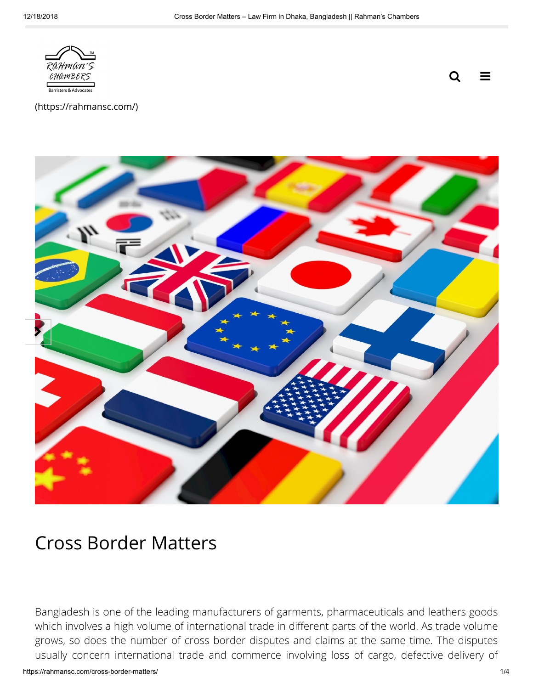

 $\equiv$ Q

[\(https://rahmansc.com/\)](https://rahmansc.com/)



# Cross Border Matters

Bangladesh is one of the leading manufacturers of garments, pharmaceuticals and leathers goods which involves a high volume of international trade in different parts of the world. As trade volume grows, so does the number of cross border disputes and claims at the same time. The disputes usually concern international trade and commerce involving loss of cargo, defective delivery of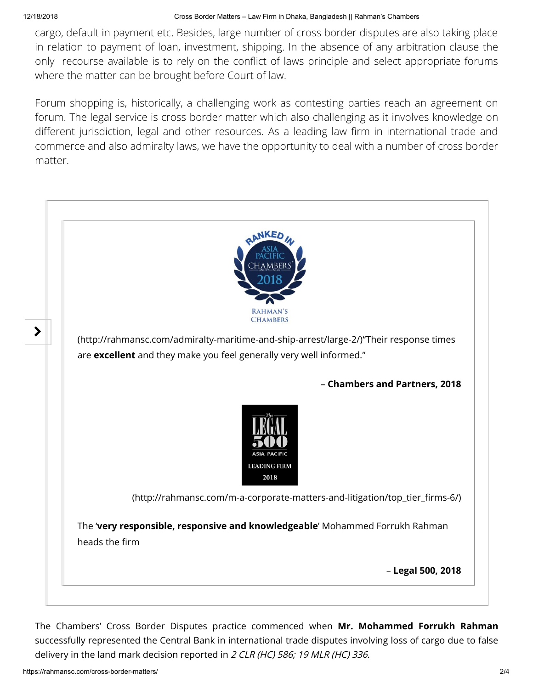cargo, default in payment etc. Besides, large number of cross border disputes are also taking place in relation to payment of loan, investment, shipping. In the absence of any arbitration clause the only recourse available is to rely on the conflict of laws principle and select appropriate forums where the matter can be brought before Court of law.

Forum shopping is, historically, a challenging work as contesting parties reach an agreement on forum. The legal service is cross border matter which also challenging as it involves knowledge on different jurisdiction, legal and other resources. As a leading law firm in international trade and commerce and also admiralty laws, we have the opportunity to deal with a number of cross border matter.



The Chambers' Cross Border Disputes practice commenced when Mr. Mohammed Forrukh Rahman successfully represented the Central Bank in international trade disputes involving loss of cargo due to false delivery in the land mark decision reported in 2 CLR (HC) 586; 19 MLR (HC) 336.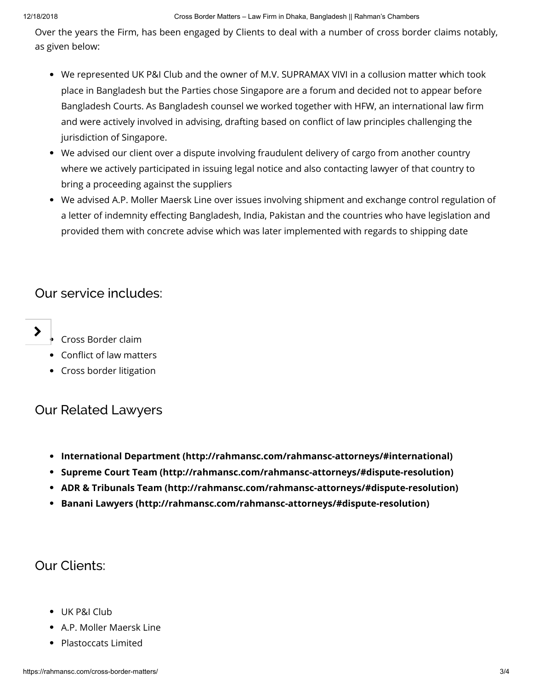Over the years the Firm, has been engaged by Clients to deal with a number of cross border claims notably, as given below:

- We represented UK P&I Club and the owner of M.V. SUPRAMAX VIVI in a collusion matter which took place in Bangladesh but the Parties chose Singapore are a forum and decided not to appear before Bangladesh Courts. As Bangladesh counsel we worked together with HFW, an international law firm and were actively involved in advising, drafting based on conflict of law principles challenging the jurisdiction of Singapore.
- We advised our client over a dispute involving fraudulent delivery of cargo from another country where we actively participated in issuing legal notice and also contacting lawyer of that country to bring a proceeding against the suppliers
- We advised A.P. Moller Maersk Line over issues involving shipment and exchange control regulation of a letter of indemnity effecting Bangladesh, India, Pakistan and the countries who have legislation and provided them with concrete advise which was later implemented with regards to shipping date

## Our service includes:



- Cross Border claim
- Conflict of law matters
- Cross border litigation

## Our Related Lawyers

- [International Department \(http://rahmansc.com/rahmansc-attorneys/#international\)](http://rahmansc.com/rahmansc-attorneys/#international)
- [Supreme Court Team \(http://rahmansc.com/rahmansc-attorneys/#dispute-resolution\)](http://rahmansc.com/rahmansc-attorneys/#dispute-resolution)
- [ADR & Tribunals Team \(http://rahmansc.com/rahmansc-attorneys/#dispute-resolution\)](http://rahmansc.com/rahmansc-attorneys/#dispute-resolution)
- [Banani Lawyers \(http://rahmansc.com/rahmansc-attorneys/#dispute-resolution\)](http://rahmansc.com/rahmansc-attorneys/#dispute-resolution)

# Our Clients:

- UK P&I Club
- A.P. Moller Maersk Line
- Plastoccats Limited